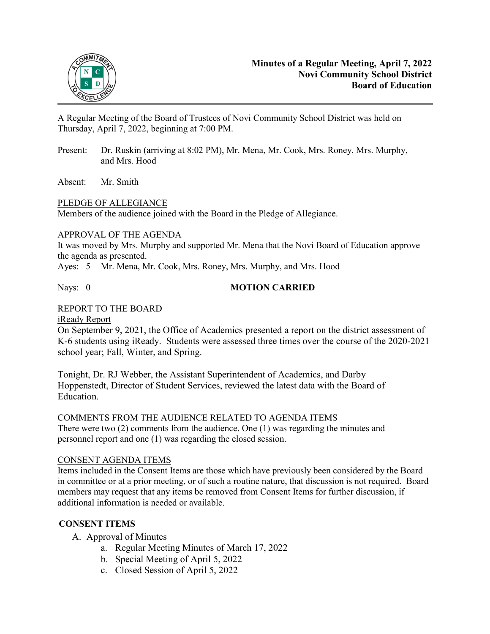

A Regular Meeting of the Board of Trustees of Novi Community School District was held on Thursday, April 7, 2022, beginning at 7:00 PM.

- Present: Dr. Ruskin (arriving at 8:02 PM), Mr. Mena, Mr. Cook, Mrs. Roney, Mrs. Murphy, and Mrs. Hood
- Absent: Mr. Smith

# PLEDGE OF ALLEGIANCE

Members of the audience joined with the Board in the Pledge of Allegiance.

# APPROVAL OF THE AGENDA

It was moved by Mrs. Murphy and supported Mr. Mena that the Novi Board of Education approve the agenda as presented.

Ayes: 5 Mr. Mena, Mr. Cook, Mrs. Roney, Mrs. Murphy, and Mrs. Hood

# Nays: 0 **MOTION CARRIED**

# REPORT TO THE BOARD

iReady Report

On September 9, 2021, the Office of Academics presented a report on the district assessment of K-6 students using iReady. Students were assessed three times over the course of the 2020-2021 school year; Fall, Winter, and Spring.

Tonight, Dr. RJ Webber, the Assistant Superintendent of Academics, and Darby Hoppenstedt, Director of Student Services, reviewed the latest data with the Board of Education.

# COMMENTS FROM THE AUDIENCE RELATED TO AGENDA ITEMS

There were two (2) comments from the audience. One (1) was regarding the minutes and personnel report and one (1) was regarding the closed session.

#### CONSENT AGENDA ITEMS

Items included in the Consent Items are those which have previously been considered by the Board in committee or at a prior meeting, or of such a routine nature, that discussion is not required. Board members may request that any items be removed from Consent Items for further discussion, if additional information is needed or available.

# **CONSENT ITEMS**

- A. Approval of Minutes
	- a. Regular Meeting Minutes of March 17, 2022
	- b. Special Meeting of April 5, 2022
	- c. Closed Session of April 5, 2022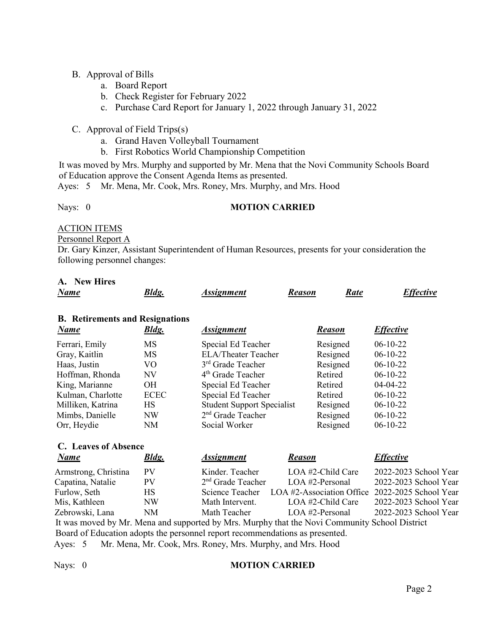# B. Approval of Bills

- a. Board Report
- b. Check Register for February 2022
- c. Purchase Card Report for January 1, 2022 through January 31, 2022
- C. Approval of Field Trips(s)
	- a. Grand Haven Volleyball Tournament
	- b. First Robotics World Championship Competition

It was moved by Mrs. Murphy and supported by Mr. Mena that the Novi Community Schools Board of Education approve the Consent Agenda Items as presented.

Ayes: 5 Mr. Mena, Mr. Cook, Mrs. Roney, Mrs. Murphy, and Mrs. Hood

# Nays: 0 **MOTION CARRIED**

## ACTION ITEMS

#### Personnel Report A

Dr. Gary Kinzer, Assistant Superintendent of Human Resources, presents for your consideration the following personnel changes:

# **A. New Hires**

| <b>B.</b> Retirements and Resignations                        |              |                                   |               |                  |  |  |
|---------------------------------------------------------------|--------------|-----------------------------------|---------------|------------------|--|--|
| <b>Name</b>                                                   | <b>Bldg.</b> | <b>Assignment</b>                 | <b>Reason</b> | <b>Effective</b> |  |  |
| Ferrari, Emily                                                | <b>MS</b>    | Special Ed Teacher                | Resigned      | $06-10-22$       |  |  |
| Gray, Kaitlin                                                 | <b>MS</b>    | <b>ELA/Theater Teacher</b>        | Resigned      | $06-10-22$       |  |  |
| Haas, Justin                                                  | VO.          | 3 <sup>rd</sup> Grade Teacher     | Resigned      | $06-10-22$       |  |  |
| Hoffman, Rhonda                                               | NV           | $4th$ Grade Teacher               | Retired       | $06-10-22$       |  |  |
| King, Marianne                                                | <b>OH</b>    | Special Ed Teacher                | Retired       | $04 - 04 - 22$   |  |  |
| Kulman, Charlotte                                             | <b>ECEC</b>  | Special Ed Teacher                | Retired       | $06-10-22$       |  |  |
| Milliken, Katrina                                             | HS           | <b>Student Support Specialist</b> | Resigned      | $06-10-22$       |  |  |
| 2 <sup>nd</sup> Grade Teacher<br>Mimbs, Danielle<br><b>NW</b> |              | Resigned                          | $06-10-22$    |                  |  |  |
| Orr, Heydie                                                   | <b>NM</b>    | Social Worker                     | Resigned      | $06-10-22$       |  |  |

# **C. Leaves of Absence**

| <b>Name</b>          | <b>Bldg.</b> | <b>Assignment</b>   | <b>Reason</b>                                   | <b>Effective</b>      |
|----------------------|--------------|---------------------|-------------------------------------------------|-----------------------|
| Armstrong, Christina | PV.          | Kinder. Teacher     | LOA #2-Child Care                               | 2022-2023 School Year |
| Capatina, Natalie    | PV           | $2nd$ Grade Teacher | $LOA$ #2-Personal                               | 2022-2023 School Year |
| Furlow, Seth         | HS.          | Science Teacher     | LOA #2-Association Office 2022-2025 School Year |                       |
| Mis, Kathleen        | NW           | Math Intervent.     | $LOA$ #2-Child Care                             | 2022-2023 School Year |
| Zebrowski, Lana      | NM           | Math Teacher        | $LOA$ #2-Personal                               | 2022-2023 School Year |
|                      |              |                     |                                                 |                       |

 It was moved by Mr. Mena and supported by Mrs. Murphy that the Novi Community School District Board of Education adopts the personnel report recommendations as presented.

Ayes: 5 Mr. Mena, Mr. Cook, Mrs. Roney, Mrs. Murphy, and Mrs. Hood

#### Nays: 0 **MOTION CARRIED**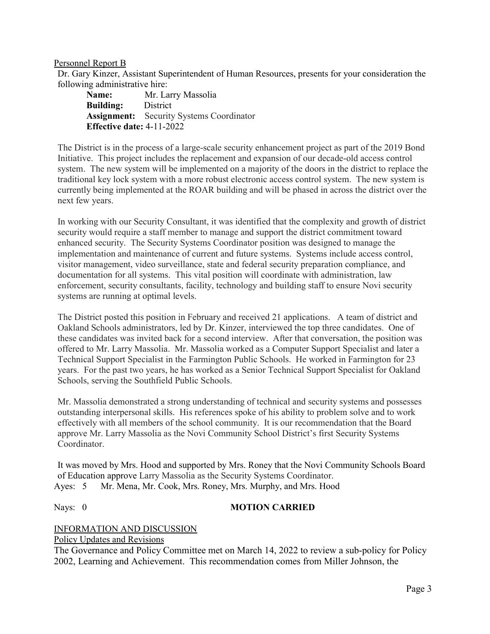Personnel Report B

Dr. Gary Kinzer, Assistant Superintendent of Human Resources, presents for your consideration the following administrative hire:

**Name:** Mr. Larry Massolia **Building:** District **Assignment:** Security Systems Coordinator **Effective date:** 4-11-2022

The District is in the process of a large-scale security enhancement project as part of the 2019 Bond Initiative. This project includes the replacement and expansion of our decade-old access control system. The new system will be implemented on a majority of the doors in the district to replace the traditional key lock system with a more robust electronic access control system. The new system is currently being implemented at the ROAR building and will be phased in across the district over the next few years.

In working with our Security Consultant, it was identified that the complexity and growth of district security would require a staff member to manage and support the district commitment toward enhanced security. The Security Systems Coordinator position was designed to manage the implementation and maintenance of current and future systems. Systems include access control, visitor management, video surveillance, state and federal security preparation compliance, and documentation for all systems. This vital position will coordinate with administration, law enforcement, security consultants, facility, technology and building staff to ensure Novi security systems are running at optimal levels.

The District posted this position in February and received 21 applications. A team of district and Oakland Schools administrators, led by Dr. Kinzer, interviewed the top three candidates. One of these candidates was invited back for a second interview. After that conversation, the position was offered to Mr. Larry Massolia. Mr. Massolia worked as a Computer Support Specialist and later a Technical Support Specialist in the Farmington Public Schools. He worked in Farmington for 23 years. For the past two years, he has worked as a Senior Technical Support Specialist for Oakland Schools, serving the Southfield Public Schools.

Mr. Massolia demonstrated a strong understanding of technical and security systems and possesses outstanding interpersonal skills. His references spoke of his ability to problem solve and to work effectively with all members of the school community. It is our recommendation that the Board approve Mr. Larry Massolia as the Novi Community School District's first Security Systems Coordinator.

It was moved by Mrs. Hood and supported by Mrs. Roney that the Novi Community Schools Board of Education approve Larry Massolia as the Security Systems Coordinator. Ayes: 5 Mr. Mena, Mr. Cook, Mrs. Roney, Mrs. Murphy, and Mrs. Hood

# Nays: 0 **MOTION CARRIED**

# INFORMATION AND DISCUSSION

Policy Updates and Revisions

The Governance and Policy Committee met on March 14, 2022 to review a sub-policy for Policy 2002, Learning and Achievement. This recommendation comes from Miller Johnson, the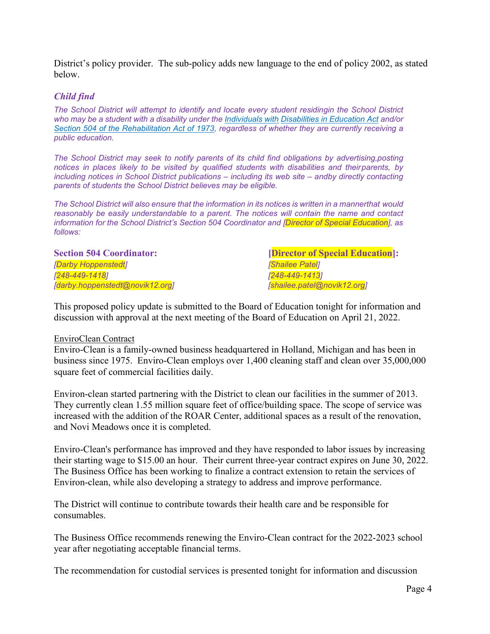District's policy provider. The sub-policy adds new language to the end of policy 2002, as stated below.

#### *Child find*

*The School District will attempt to identify and locate every student residingin the School District who may be a student with a disability under the Individuals with Disabilities in Education Act and/or Section 504 of the Rehabilitation Act of 1973, regardless of whether they are currently receiving a public education.*

*The School District may seek to notify parents of its child find obligations by advertising,posting notices in places likely to be visited by qualified students with disabilities and theirparents, by including notices in School District publications – including its web site – andby directly contacting parents of students the School District believes may be eligible.*

The School District will also ensure that the information in its notices is written in a mannerthat would *reasonably be easily understandable to a parent. The notices will contain the name and contact information for the School District's Section 504 Coordinator and [Director of Special Education], as follows:*

*[Darby Hoppenstedt] [Shailee Patel] [248-449-1418] [248-449-1413] [darby.hoppenstedt@novik12.org] [shailee.patel@novik12.org]*

**Section 504 Coordinator: Coordination**: *Coordinator:* **Coordination Education**:

This proposed policy update is submitted to the Board of Education tonight for information and discussion with approval at the next meeting of the Board of Education on April 21, 2022.

#### EnviroClean Contract

Enviro-Clean is a family-owned business headquartered in Holland, Michigan and has been in business since 1975. Enviro-Clean employs over 1,400 cleaning staff and clean over 35,000,000 square feet of commercial facilities daily.

Environ-clean started partnering with the District to clean our facilities in the summer of 2013. They currently clean 1.55 million square feet of office/building space. The scope of service was increased with the addition of the ROAR Center, additional spaces as a result of the renovation, and Novi Meadows once it is completed.

Enviro-Clean's performance has improved and they have responded to labor issues by increasing their starting wage to \$15.00 an hour. Their current three-year contract expires on June 30, 2022. The Business Office has been working to finalize a contract extension to retain the services of Environ-clean, while also developing a strategy to address and improve performance.

The District will continue to contribute towards their health care and be responsible for consumables.

The Business Office recommends renewing the Enviro-Clean contract for the 2022-2023 school year after negotiating acceptable financial terms.

The recommendation for custodial services is presented tonight for information and discussion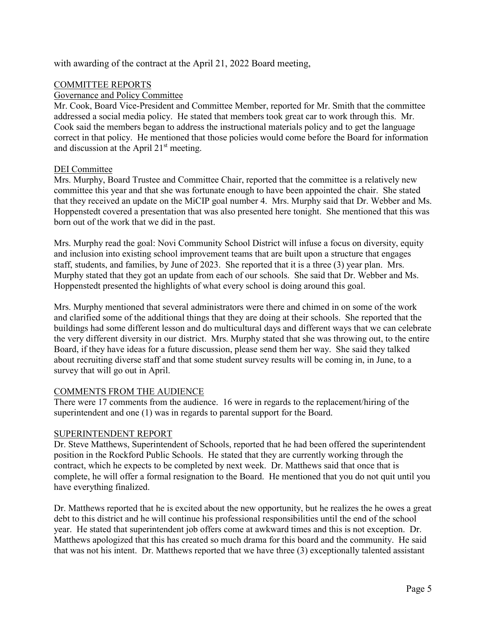with awarding of the contract at the April 21, 2022 Board meeting,

#### COMMITTEE REPORTS

#### Governance and Policy Committee

Mr. Cook, Board Vice-President and Committee Member, reported for Mr. Smith that the committee addressed a social media policy. He stated that members took great car to work through this. Mr. Cook said the members began to address the instructional materials policy and to get the language correct in that policy. He mentioned that those policies would come before the Board for information and discussion at the April  $21<sup>st</sup>$  meeting.

# DEI Committee

Mrs. Murphy, Board Trustee and Committee Chair, reported that the committee is a relatively new committee this year and that she was fortunate enough to have been appointed the chair. She stated that they received an update on the MiCIP goal number 4. Mrs. Murphy said that Dr. Webber and Ms. Hoppenstedt covered a presentation that was also presented here tonight. She mentioned that this was born out of the work that we did in the past.

Mrs. Murphy read the goal: Novi Community School District will infuse a focus on diversity, equity and inclusion into existing school improvement teams that are built upon a structure that engages staff, students, and families, by June of 2023. She reported that it is a three (3) year plan. Mrs. Murphy stated that they got an update from each of our schools. She said that Dr. Webber and Ms. Hoppenstedt presented the highlights of what every school is doing around this goal.

Mrs. Murphy mentioned that several administrators were there and chimed in on some of the work and clarified some of the additional things that they are doing at their schools. She reported that the buildings had some different lesson and do multicultural days and different ways that we can celebrate the very different diversity in our district. Mrs. Murphy stated that she was throwing out, to the entire Board, if they have ideas for a future discussion, please send them her way. She said they talked about recruiting diverse staff and that some student survey results will be coming in, in June, to a survey that will go out in April.

# COMMENTS FROM THE AUDIENCE

There were 17 comments from the audience. 16 were in regards to the replacement/hiring of the superintendent and one (1) was in regards to parental support for the Board.

#### SUPERINTENDENT REPORT

Dr. Steve Matthews, Superintendent of Schools, reported that he had been offered the superintendent position in the Rockford Public Schools. He stated that they are currently working through the contract, which he expects to be completed by next week. Dr. Matthews said that once that is complete, he will offer a formal resignation to the Board. He mentioned that you do not quit until you have everything finalized.

Dr. Matthews reported that he is excited about the new opportunity, but he realizes the he owes a great debt to this district and he will continue his professional responsibilities until the end of the school year. He stated that superintendent job offers come at awkward times and this is not exception. Dr. Matthews apologized that this has created so much drama for this board and the community. He said that was not his intent. Dr. Matthews reported that we have three (3) exceptionally talented assistant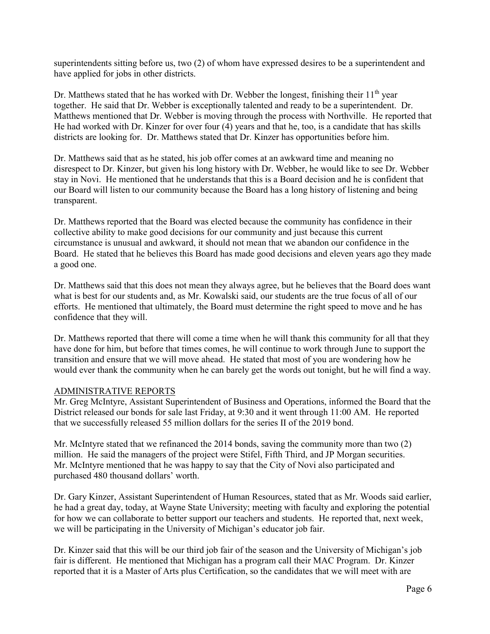superintendents sitting before us, two (2) of whom have expressed desires to be a superintendent and have applied for jobs in other districts.

Dr. Matthews stated that he has worked with Dr. Webber the longest, finishing their  $11<sup>th</sup>$  year together. He said that Dr. Webber is exceptionally talented and ready to be a superintendent. Dr. Matthews mentioned that Dr. Webber is moving through the process with Northville. He reported that He had worked with Dr. Kinzer for over four (4) years and that he, too, is a candidate that has skills districts are looking for. Dr. Matthews stated that Dr. Kinzer has opportunities before him.

Dr. Matthews said that as he stated, his job offer comes at an awkward time and meaning no disrespect to Dr. Kinzer, but given his long history with Dr. Webber, he would like to see Dr. Webber stay in Novi. He mentioned that he understands that this is a Board decision and he is confident that our Board will listen to our community because the Board has a long history of listening and being transparent.

Dr. Matthews reported that the Board was elected because the community has confidence in their collective ability to make good decisions for our community and just because this current circumstance is unusual and awkward, it should not mean that we abandon our confidence in the Board. He stated that he believes this Board has made good decisions and eleven years ago they made a good one.

Dr. Matthews said that this does not mean they always agree, but he believes that the Board does want what is best for our students and, as Mr. Kowalski said, our students are the true focus of all of our efforts. He mentioned that ultimately, the Board must determine the right speed to move and he has confidence that they will.

Dr. Matthews reported that there will come a time when he will thank this community for all that they have done for him, but before that times comes, he will continue to work through June to support the transition and ensure that we will move ahead. He stated that most of you are wondering how he would ever thank the community when he can barely get the words out tonight, but he will find a way.

# ADMINISTRATIVE REPORTS

Mr. Greg McIntyre, Assistant Superintendent of Business and Operations, informed the Board that the District released our bonds for sale last Friday, at 9:30 and it went through 11:00 AM. He reported that we successfully released 55 million dollars for the series II of the 2019 bond.

Mr. McIntyre stated that we refinanced the 2014 bonds, saving the community more than two (2) million. He said the managers of the project were Stifel, Fifth Third, and JP Morgan securities. Mr. McIntyre mentioned that he was happy to say that the City of Novi also participated and purchased 480 thousand dollars' worth.

Dr. Gary Kinzer, Assistant Superintendent of Human Resources, stated that as Mr. Woods said earlier, he had a great day, today, at Wayne State University; meeting with faculty and exploring the potential for how we can collaborate to better support our teachers and students. He reported that, next week, we will be participating in the University of Michigan's educator job fair.

Dr. Kinzer said that this will be our third job fair of the season and the University of Michigan's job fair is different. He mentioned that Michigan has a program call their MAC Program. Dr. Kinzer reported that it is a Master of Arts plus Certification, so the candidates that we will meet with are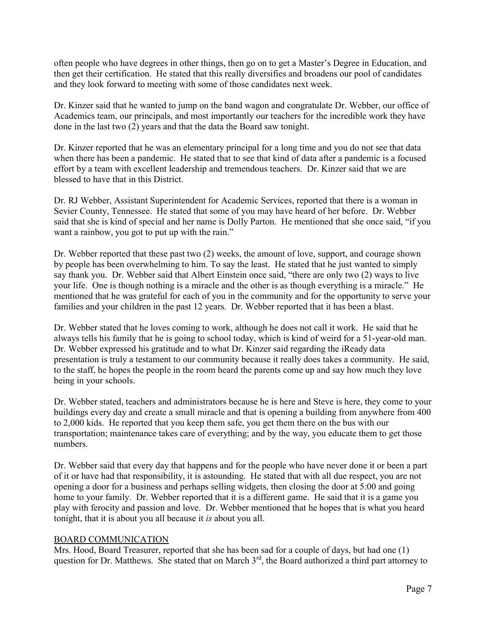often people who have degrees in other things, then go on to get a Master's Degree in Education, and then get their certification. He stated that this really diversifies and broadens our pool of candidates and they look forward to meeting with some of those candidates next week.

Dr. Kinzer said that he wanted to jump on the band wagon and congratulate Dr. Webber, our office of Academics team, our principals, and most importantly our teachers for the incredible work they have done in the last two (2) years and that the data the Board saw tonight.

Dr. Kinzer reported that he was an elementary principal for a long time and you do not see that data when there has been a pandemic. He stated that to see that kind of data after a pandemic is a focused effort by a team with excellent leadership and tremendous teachers. Dr. Kinzer said that we are blessed to have that in this District.

Dr. RJ Webber, Assistant Superintendent for Academic Services, reported that there is a woman in Sevier County, Tennessee. He stated that some of you may have heard of her before. Dr. Webber said that she is kind of special and her name is Dolly Parton. He mentioned that she once said, "if you want a rainbow, you got to put up with the rain."

Dr. Webber reported that these past two (2) weeks, the amount of love, support, and courage shown by people has been overwhelming to him. To say the least. He stated that he just wanted to simply say thank you. Dr. Webber said that Albert Einstein once said, "there are only two (2) ways to live your life. One is though nothing is a miracle and the other is as though everything is a miracle." He mentioned that he was grateful for each of you in the community and for the opportunity to serve your families and your children in the past 12 years. Dr. Webber reported that it has been a blast.

Dr. Webber stated that he loves coming to work, although he does not call it work. He said that he always tells his family that he is going to school today, which is kind of weird for a 51-year-old man. Dr. Webber expressed his gratitude and to what Dr. Kinzer said regarding the iReady data presentation is truly a testament to our community because it really does takes a community. He said, to the staff, he hopes the people in the room heard the parents come up and say how much they love being in your schools.

Dr. Webber stated, teachers and administrators because he is here and Steve is here, they come to your buildings every day and create a small miracle and that is opening a building from anywhere from 400 to 2,000 kids. He reported that you keep them safe, you get them there on the bus with our transportation; maintenance takes care of everything; and by the way, you educate them to get those numbers.

Dr. Webber said that every day that happens and for the people who have never done it or been a part of it or have had that responsibility, it is astounding. He stated that with all due respect, you are not opening a door for a business and perhaps selling widgets, then closing the door at 5:00 and going home to your family. Dr. Webber reported that it is a different game. He said that it is a game you play with ferocity and passion and love. Dr. Webber mentioned that he hopes that is what you heard tonight, that it is about you all because it *is* about you all.

# BOARD COMMUNICATION

Mrs. Hood, Board Treasurer, reported that she has been sad for a couple of days, but had one (1) question for Dr. Matthews. She stated that on March 3<sup>rd</sup>, the Board authorized a third part attorney to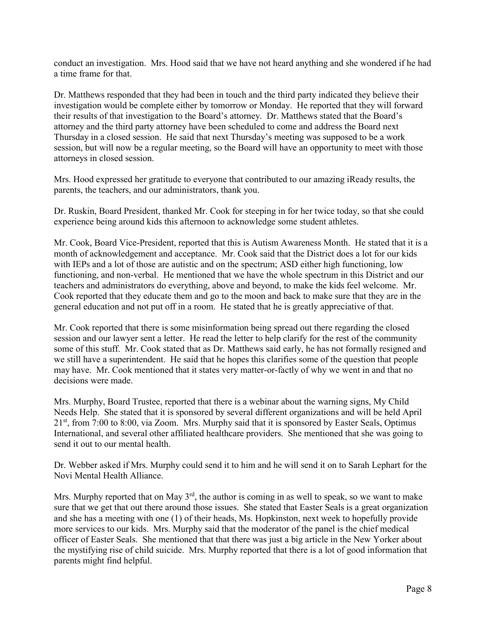conduct an investigation. Mrs. Hood said that we have not heard anything and she wondered if he had a time frame for that.

Dr. Matthews responded that they had been in touch and the third party indicated they believe their investigation would be complete either by tomorrow or Monday. He reported that they will forward their results of that investigation to the Board's attorney. Dr. Matthews stated that the Board's attorney and the third party attorney have been scheduled to come and address the Board next Thursday in a closed session. He said that next Thursday's meeting was supposed to be a work session, but will now be a regular meeting, so the Board will have an opportunity to meet with those attorneys in closed session.

Mrs. Hood expressed her gratitude to everyone that contributed to our amazing iReady results, the parents, the teachers, and our administrators, thank you.

Dr. Ruskin, Board President, thanked Mr. Cook for steeping in for her twice today, so that she could experience being around kids this afternoon to acknowledge some student athletes.

Mr. Cook, Board Vice-President, reported that this is Autism Awareness Month. He stated that it is a month of acknowledgement and acceptance. Mr. Cook said that the District does a lot for our kids with IEPs and a lot of those are autistic and on the spectrum; ASD either high functioning, low functioning, and non-verbal. He mentioned that we have the whole spectrum in this District and our teachers and administrators do everything, above and beyond, to make the kids feel welcome. Mr. Cook reported that they educate them and go to the moon and back to make sure that they are in the general education and not put off in a room. He stated that he is greatly appreciative of that.

Mr. Cook reported that there is some misinformation being spread out there regarding the closed session and our lawyer sent a letter. He read the letter to help clarify for the rest of the community some of this stuff. Mr. Cook stated that as Dr. Matthews said early, he has not formally resigned and we still have a superintendent. He said that he hopes this clarifies some of the question that people may have. Mr. Cook mentioned that it states very matter-or-factly of why we went in and that no decisions were made.

Mrs. Murphy, Board Trustee, reported that there is a webinar about the warning signs, My Child Needs Help. She stated that it is sponsored by several different organizations and will be held April 21<sup>st</sup>, from 7:00 to 8:00, via Zoom. Mrs. Murphy said that it is sponsored by Easter Seals, Optimus International, and several other affiliated healthcare providers. She mentioned that she was going to send it out to our mental health.

Dr. Webber asked if Mrs. Murphy could send it to him and he will send it on to Sarah Lephart for the Novi Mental Health Alliance.

Mrs. Murphy reported that on May  $3<sup>rd</sup>$ , the author is coming in as well to speak, so we want to make sure that we get that out there around those issues. She stated that Easter Seals is a great organization and she has a meeting with one (1) of their heads, Ms. Hopkinston, next week to hopefully provide more services to our kids. Mrs. Murphy said that the moderator of the panel is the chief medical officer of Easter Seals. She mentioned that that there was just a big article in the New Yorker about the mystifying rise of child suicide. Mrs. Murphy reported that there is a lot of good information that parents might find helpful.